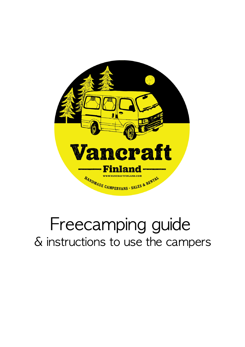

# Freecamping guide & instructions to use the campers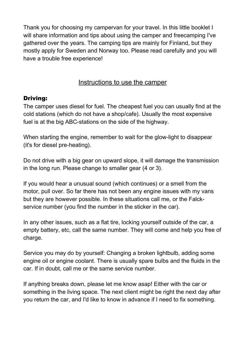Thank you for choosing my campervan for your travel. In this little booklet I will share information and tips about using the camper and freecamping I've gathered over the years. The camping tips are mainly for Finland, but they mostly apply for Sweden and Norway too. Please read carefully and you will have a trouble free experience!

# Instructions to use the camper

## Driving:

The camper uses diesel for fuel. The cheapest fuel you can usually find at the cold stations (which do not have a shop/cafe). Usually the most expensive fuel is at the big ABC-stations on the side of the highway.

When starting the engine, remember to wait for the glow-light to disappear (it's for diesel pre-heating).

Do not drive with a big gear on upward slope, it will damage the transmission in the long run. Please change to smaller gear (4 or 3).

If you would hear a unusual sound (which continues) or a smell from the motor, pull over. So far there has not been any engine issues with my vans but they are however possible. In these situations call me, or the Falckservice number (you find the number in the sticker in the car).

In any other issues, such as a flat tire, locking yourself outside of the car, a empty battery, etc, call the same number. They will come and help you free of charge.

Service you may do by yourself: Changing a broken lightbulb, adding some engine oil or engine coolant. There is usually spare bulbs and the fluids in the car. If in doubt, call me or the same service number.

If anything breaks down, please let me know asap! Either with the car or something in the living space. The next client might be right the next day after you return the car, and I'd like to know in advance if I need to fix something.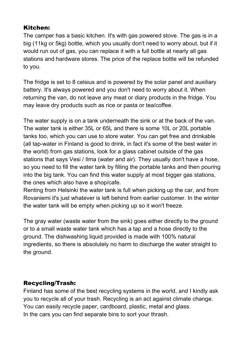## Kitchen:

The camper has a basic kitchen. It's with gas powered stove. The gas is in a big (11kg or 5kg) bottle, which you usually don't need to worry about, but if it would run out of gas, you can replace it with a full bottle at nearly all gas stations and hardware stores. The price of the replace bottle will be refunded to you.

The fridge is set to 8 celsius and is powered by the solar panel and auxiliary battery. It's always powered and you don't need to worry about it. When returning the van, do not leave any meat or diary products in the fridge. You may leave dry products such as rice or pasta or tea/coffee.

The water supply is on a tank underneath the sink or at the back of the van. The water tank is either 35L or 65L and there is some 10L or 20L portable tanks too, which you can use to store water. You can get free and drinkable (all tap-water in Finland is good to drink, in fact it's some of the best water in the world) from gas stations, look for a glass cabinet outside of the gas stations that says Vesi / Ilma (water and air). They usually don't have a hose, so you need to fill the water tank by filling the portable tanks and then pouring into the big tank. You can find this water supply at most bigger gas stations, the ones which also have a shop/cafe.

Renting from Helsinki the water tank is full when picking up the car, and from Rovaniemi it's just whatever is left behind from earlier customer. In the winter the water tank will be empty when picking up so it won't freeze.

The gray water (waste water from the sink) goes either directly to the ground or to a small waste water tank which has a tap and a hose directly to the ground. The dishwashing liquid provided is made with 100% natural ingredients, so there is absolutely no harm to discharge the water straight to the ground.

## Recycling/Trash:

Finland has some of the best recycling systems in the world, and I kindly ask you to recycle all of your trash. Recycling is an act against climate change. You can easily recycle paper, cardboard, plastic, metal and glass. In the cars you can find separate bins to sort your thrash.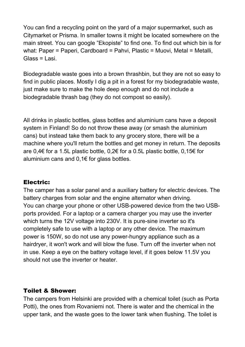You can find a recycling point on the yard of a major supermarket, such as Citymarket or Prisma. In smaller towns it might be located somewhere on the main street. You can google "Ekopiste" to find one. To find out which bin is for what: Paper = Paperi, Cardboard = Pahvi, Plastic = Muovi, Metal = Metalli, Glass = Lasi.

Biodegradable waste goes into a brown thrashbin, but they are not so easy to find in public places. Mostly I dig a pit in a forest for my biodegradable waste, just make sure to make the hole deep enough and do not include a biodegradable thrash bag (they do not compost so easily).

All drinks in plastic bottles, glass bottles and aluminium cans have a deposit system in Finland! So do not throw these away (or smash the aluminium cans) but instead take them back to any grocery store, there will be a machine where you'll return the bottles and get money in return. The deposits are 0,4€ for a 1.5L plastic bottle, 0,2€ for a 0.5L plastic bottle, 0,15€ for aluminium cans and  $0,1 \in$  for glass bottles.

### Electric:

The camper has a solar panel and a auxiliary battery for electric devices. The battery charges from solar and the engine alternator when driving. You can charge your phone or other USB-powered device from the two USBports provided. For a laptop or a camera charger you may use the inverter which turns the 12V voltage into 230V. It is pure-sine inverter so it's completely safe to use with a laptop or any other device. The maximum power is 150W, so do not use any power-hungry appliance such as a hairdryer, it won't work and will blow the fuse. Turn off the inverter when not in use. Keep a eye on the battery voltage level, if it goes below 11.5V you should not use the inverter or heater.

### Toilet & Shower:

The campers from Helsinki are provided with a chemical toilet (such as Porta Potti), the ones from Rovaniemi not. There is water and the chemical in the upper tank, and the waste goes to the lower tank when flushing. The toilet is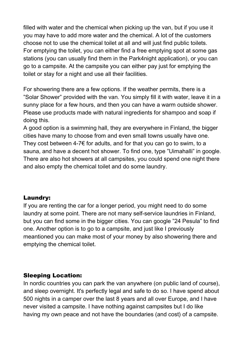filled with water and the chemical when picking up the van, but if you use it you may have to add more water and the chemical. A lot of the customers choose not to use the chemical toilet at all and will just find public toilets. For emptying the toilet, you can either find a free emptying spot at some gas stations (you can usually find them in the Park4night application), or you can go to a campsite. At the campsite you can either pay just for emptying the toilet or stay for a night and use all their facilities.

For showering there are a few options. If the weather permits, there is a "Solar Shower" provided with the van. You simply fill it with water, leave it in a sunny place for a few hours, and then you can have a warm outside shower. Please use products made with natural ingredients for shampoo and soap if doing this.

A good option is a swimming hall, they are everywhere in Finland, the bigger cities have many to choose from and even small towns usually have one. They cost between 4-7 $\epsilon$  for adults, and for that you can go to swim, to a sauna, and have a decent hot shower. To find one, type "Uimahalli" in google. There are also hot showers at all campsites, you could spend one night there and also empty the chemical toilet and do some laundry.

#### Laundry:

If you are renting the car for a longer period, you might need to do some laundry at some point. There are not many self-service laundries in Finland, but you can find some in the bigger cities. You can google "24 Pesula" to find one. Another option is to go to a campsite, and just like I previously meantioned you can make most of your money by also showering there and emptying the chemical toilet.

#### Sleeping Location:

In nordic countries you can park the van anywhere (on public land of course), and sleep overnight. It's perfectly legal and safe to do so. I have spend about 500 nights in a camper over the last 8 years and all over Europe, and I have never visited a campsite. I have nothing against campsites but I do like having my own peace and not have the boundaries (and cost) of a campsite.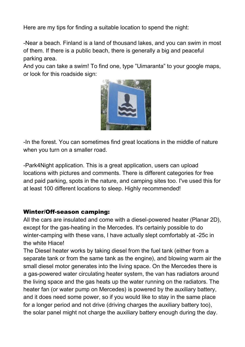Here are my tips for finding a suitable location to spend the night:

-Near a beach. Finland is a land of thousand lakes, and you can swim in most of them. If there is a public beach, there is generally a big and peaceful parking area.

And you can take a swim! To find one, type "Uimaranta" to your google maps, or look for this roadside sign:



-In the forest. You can sometimes find great locations in the middle of nature when you turn on a smaller road.

-Park4Night application. This is a great application, users can upload locations with pictures and comments. There is different categories for free and paid parking, spots in the nature, and camping sites too. I've used this for at least 100 different locations to sleep. Highly recommended!

### Winter/Off-season camping:

All the cars are insulated and come with a diesel-powered heater (Planar 2D), except for the gas-heating in the Mercedes. It's certainly possible to do winter-camping with these vans, I have actually slept comfortably at -25c in the white Hiace!

The Diesel heater works by taking diesel from the fuel tank (either from a separate tank or from the same tank as the engine), and blowing warm air the small diesel motor generates into the living space. On the Mercedes there is a gas-powered water circulating heater system, the van has radiators around the living space and the gas heats up the water running on the radiators. The heater fan (or water pump on Mercedes) is powered by the auxiliary battery, and it does need some power, so if you would like to stay in the same place for a longer period and not drive (driving charges the auxiliary battery too), the solar panel might not charge the auxiliary battery enough during the day.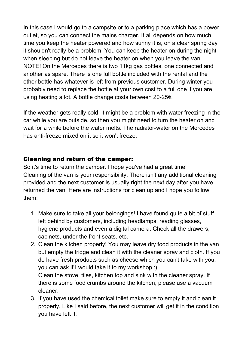In this case I would go to a campsite or to a parking place which has a power outlet, so you can connect the mains charger. It all depends on how much time you keep the heater powered and how sunny it is, on a clear spring day it shouldn't really be a problem. You can keep the heater on during the night when sleeping but do not leave the heater on when you leave the van. NOTE! On the Mercedes there is two 11kg gas bottles, one connected and another as spare. There is one full bottle included with the rental and the other bottle has whatever is left from previous customer. During winter you probably need to replace the bottle at your own cost to a full one if you are using heating a lot. A bottle change costs between 20-25€.

If the weather gets really cold, it might be a problem with water freezing in the car while you are outside, so then you might need to turn the heater on and wait for a while before the water melts. The radiator-water on the Mercedes has anti-freeze mixed on it so it won't freeze.

## Cleaning and return of the camper:

So it's time to return the camper. I hope you've had a great time! Cleaning of the van is your responsibility. There isn't any additional cleaning provided and the next customer is usually right the next day after you have returned the van. Here are instructions for clean up and I hope you follow them:

- 1. Make sure to take all your belongings! I have found quite a bit of stuff left behind by customers, including headlamps, reading glasses, hygiene products and even a digital camera. Check all the drawers, cabinets, under the front seats. etc.
- 2. Clean the kitchen properly! You may leave dry food products in the van but empty the fridge and clean it with the cleaner spray and cloth. If you do have fresh products such as cheese which you can't take with you, you can ask if I would take it to my workshop :) Clean the stove, tiles, kitchen top and sink with the cleaner spray. If there is some food crumbs around the kitchen, please use a vacuum cleaner.
- 3. If you have used the chemical toilet make sure to empty it and clean it properly. Like I said before, the next customer will get it in the condition you have left it.